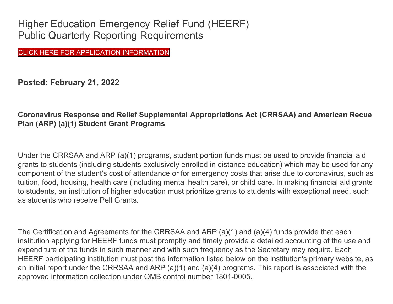Higher Education Emergency Relief Fund (HEERF) Public Quarterly Reporting Requirements

CLICK HERE FOR APPLICATION [INFORMATION](https://www.navarrocollege.edu/costs-aid/cares-act.html#spring-2022)

**Posted: February 21, 2022**

# **Coronavirus Response and Relief Supplemental Appropriations Act (CRRSAA) and American Recue Plan (ARP) (a)(1) Student Grant Programs**

Under the CRRSAA and ARP (a)(1) programs, student portion funds must be used to provide financial aid grants to students (including students exclusively enrolled in distance education) which may be used for any component of the student's cost of attendance or for emergency costs that arise due to coronavirus, such as tuition, food, housing, health care (including mental health care), or child care. In making financial aid grants to students, an institution of higher education must prioritize grants to students with exceptional need, such as students who receive Pell Grants.

The Certification and Agreements for the CRRSAA and ARP (a)(1) and (a)(4) funds provide that each institution applying for HEERF funds must promptly and timely provide a detailed accounting of the use and expenditure of the funds in such manner and with such frequency as the Secretary may require. Each HEERF participating institution must post the information listed below on the institution's primary website, as an initial report under the CRRSAA and ARP (a)(1) and (a)(4) programs. This report is associated with the approved information collection under OMB control number 1801-0005.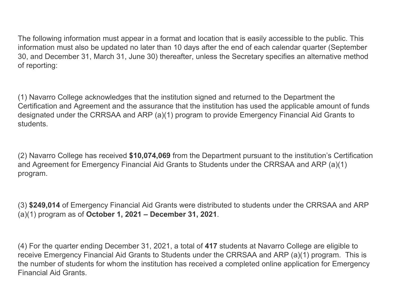The following information must appear in a format and location that is easily accessible to the public. This information must also be updated no later than 10 days after the end of each calendar quarter (September 30, and December 31, March 31, June 30) thereafter, unless the Secretary specifies an alternative method of reporting:

(1) Navarro College acknowledges that the institution signed and returned to the Department the Certification and Agreement and the assurance that the institution has used the applicable amount of funds designated under the CRRSAA and ARP (a)(1) program to provide Emergency Financial Aid Grants to students.

(2) Navarro College has received **\$10,074,069** from the Department pursuant to the institution's Certification and Agreement for Emergency Financial Aid Grants to Students under the CRRSAA and ARP (a)(1) program.

(3) **\$249,014** of Emergency Financial Aid Grants were distributed to students under the CRRSAA and ARP (a)(1) program as of **October 1, 2021 – December 31, 2021**.

(4) For the quarter ending December 31, 2021, a total of **417** students at Navarro College are eligible to receive Emergency Financial Aid Grants to Students under the CRRSAA and ARP (a)(1) program. This is the number of students for whom the institution has received a completed online application for Emergency Financial Aid Grants.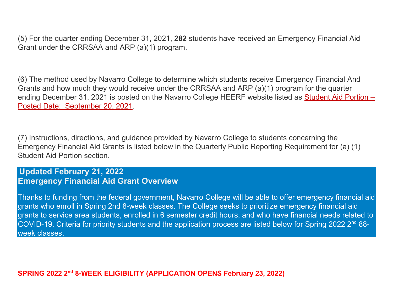(5) For the quarter ending December 31, 2021, **282** students have received an Emergency Financial Aid Grant under the CRRSAA and ARP (a)(1) program.

(6) The method used by Navarro College to determine which students receive Emergency Financial And Grants and how much they would receive under the CRRSAA and ARP (a)(1) program for the quarter ending December 31, 2021 is posted on the Navarro College HEERF website listed as [Student Aid Portion –](https://www.navarrocollege.edu/attachments/crrsa-act/student-aid-portion-september-20-2021.pdf) Posted Date: [September 20, 2021.](https://www.navarrocollege.edu/attachments/crrsa-act/student-aid-portion-september-20-2021.pdf)

(7) Instructions, directions, and guidance provided by Navarro College to students concerning the Emergency Financial Aid Grants is listed below in the Quarterly Public Reporting Requirement for (a) (1) Student Aid Portion section.

# **Updated February 21, 2022 Emergency Financial Aid Grant Overview**

Thanks to funding from the federal government, Navarro College will be able to offer emergency financial aid grants who enroll in Spring 2nd 8-week classes. The College seeks to prioritize emergency financial aid grants to service area students, enrolled in 6 semester credit hours, and who have financial needs related to COVID-19. Criteria for priority students and the application process are listed below for Spring 2022 2<sup>nd</sup> 88week classes.

**SPRING 2022 2nd 8-WEEK ELIGIBILITY (APPLICATION OPENS February 23, 2022)**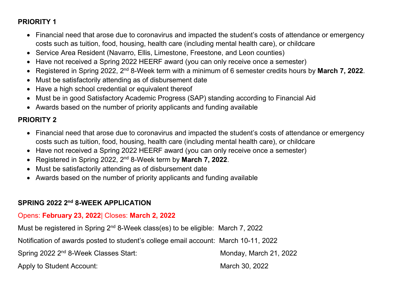### **PRIORITY 1**

- Financial need that arose due to coronavirus and impacted the student's costs of attendance or emergency costs such as tuition, food, housing, health care (including mental health care), or childcare
- Service Area Resident (Navarro, Ellis, Limestone, Freestone, and Leon counties)
- Have not received a Spring 2022 HEERF award (you can only receive once a semester)
- Registered in Spring 2022, 2nd 8-Week term with a minimum of 6 semester credits hours by **March 7, 2022**.
- Must be satisfactorily attending as of disbursement date
- Have a high school credential or equivalent thereof
- Must be in good Satisfactory Academic Progress (SAP) standing according to Financial Aid
- Awards based on the number of priority applicants and funding available

#### **PRIORITY 2**

- Financial need that arose due to coronavirus and impacted the student's costs of attendance or emergency costs such as tuition, food, housing, health care (including mental health care), or childcare
- Have not received a Spring 2022 HEERF award (you can only receive once a semester)
- Registered in Spring 2022, 2nd 8-Week term by **March 7, 2022**.
- Must be satisfactorily attending as of disbursement date
- Awards based on the number of priority applicants and funding available

#### **SPRING 2022 2nd 8-WEEK APPLICATION**

#### Opens: **February 23, 2022**| Closes: **March 2, 2022**

Must be registered in Spring  $2^{nd}$  8-Week class(es) to be eligible: March 7, 2022

Notification of awards posted to student's college email account: March 10-11, 2022

Spring 2022 2<sup>nd</sup> 8-Week Classes Start: Monday, March 21, 2022

Apply to Student Account: March 30, 2022